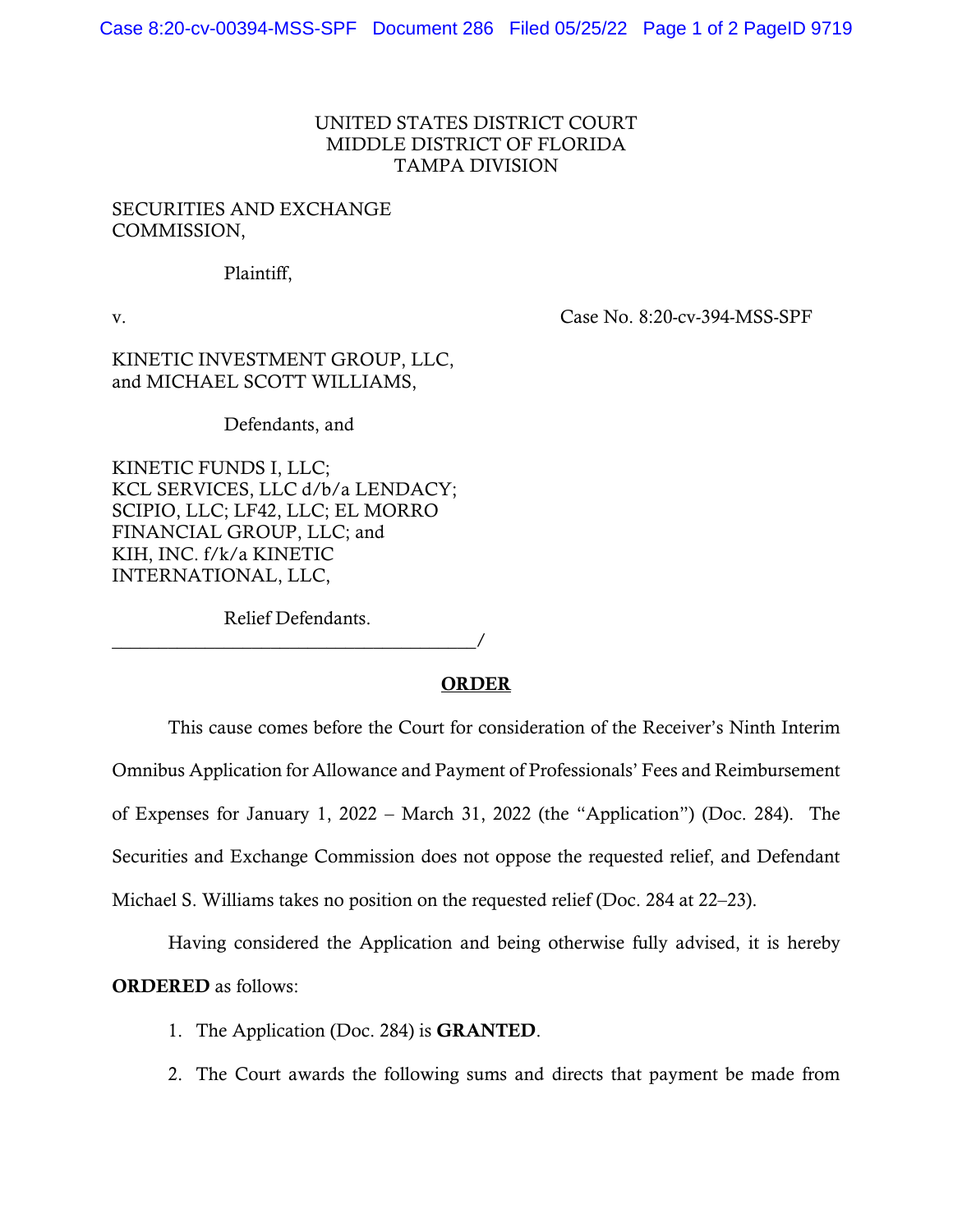## UNITED STATES DISTRICT COURT MIDDLE DISTRICT OF FLORIDA TAMPA DIVISION

## SECURITIES AND EXCHANGE COMMISSION,

Plaintiff,

v. Case No. 8:20-cv-394-MSS-SPF

KINETIC INVESTMENT GROUP, LLC, and MICHAEL SCOTT WILLIAMS,

Defendants, and

KINETIC FUNDS I, LLC; KCL SERVICES, LLC d/b/a LENDACY; SCIPIO, LLC; LF42, LLC; EL MORRO FINANCIAL GROUP, LLC; and KIH, INC. f/k/a KINETIC INTERNATIONAL, LLC,

Relief Defendants.

\_\_\_\_\_\_\_\_\_\_\_\_\_\_\_\_\_\_\_\_\_\_\_\_\_\_\_\_\_\_\_\_\_\_\_\_\_\_\_/

## ORDER

This cause comes before the Court for consideration of the Receiver's Ninth Interim Omnibus Application for Allowance and Payment of Professionals' Fees and Reimbursement of Expenses for January 1, 2022 – March 31, 2022 (the "Application") (Doc. 284). The Securities and Exchange Commission does not oppose the requested relief, and Defendant Michael S. Williams takes no position on the requested relief (Doc. 284 at 22–23).

Having considered the Application and being otherwise fully advised, it is hereby ORDERED as follows:

- 1. The Application (Doc. 284) is GRANTED.
- 2. The Court awards the following sums and directs that payment be made from